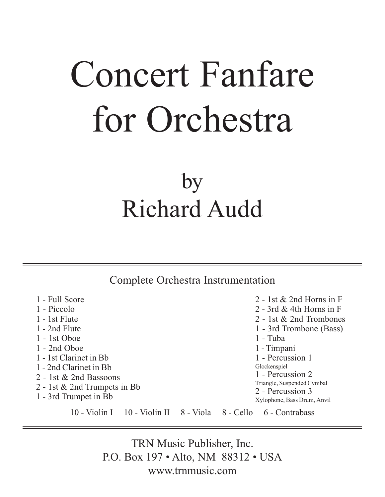# Concert Fanfare for Orchestra

## by Richard Audd

Complete Orchestra Instrumentation

1 - Full Score 1 - Piccolo 1 - 1st Flute 1 - 2nd Flute 1 - 1st Oboe 1 - 2nd Oboe 1 - 1st Clarinet in Bb 1 - 2nd Clarinet in Bb 2 - 1st & 2nd Bassoons 2 - 1st & 2nd Trumpets in Bb 1 - 3rd Trumpet in Bb 2 - 1st & 2nd Horns in F 2 - 3rd & 4th Horns in F 2 - 1st & 2nd Trombones 1 - 3rd Trombone (Bass) 1 - Tuba 1 - Timpani 1 - Percussion 1 Glockenspiel 1 - Percussion 2 Triangle, Suspended Cymbal 2 - Percussion 3 Xylophone, Bass Drum, Anvil 10 - Violin I 10 - Violin II 8 - Viola 8 - Cello 6 - Contrabass

> TRN Music Publisher, Inc. P.O. Box 197 • Alto, NM 88312 • USA www.trnmusic.com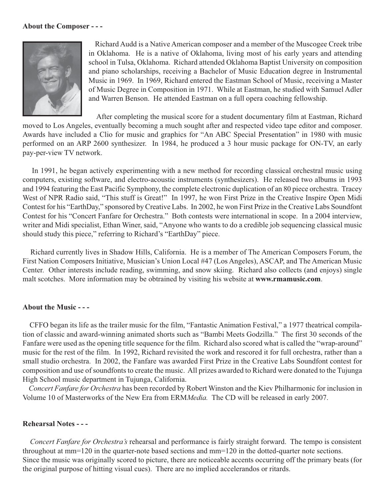#### **About the Composer - - -**



 Richard Audd is a Native American composer and a member of the Muscogee Creek tribe in Oklahoma. He is a native of Oklahoma, living most of his early years and attending school in Tulsa, Oklahoma. Richard attended Oklahoma Baptist University on composition and piano scholarships, receiving a Bachelor of Music Education degree in Instrumental Music in 1969. In 1969, Richard entered the Eastman School of Music, receiving a Master of Music Degree in Composition in 1971. While at Eastman, he studied with Samuel Adler and Warren Benson. He attended Eastman on a full opera coaching fellowship.

 After completing the musical score for a student documentary film at Eastman, Richard moved to Los Angeles, eventually becoming a much sought after and respected video tape editor and composer. Awards have included a Clio for music and graphics for "An ABC Special Presentation" in 1980 with music performed on an ARP 2600 synthesizer. In 1984, he produced a 3 hour music package for ON-TV, an early pay-per-view TV network.

 In 1991, he began actively experimenting with a new method for recording classical orchestral music using computers, existing software, and electro-acoustic instruments (synthesizers). He released two albums in 1993 and 1994 featuring the East Pacific Symphony, the complete electronic duplication of an 80 piece orchestra. Tracey West of NPR Radio said, "This stuff is Great!" In 1997, he won First Prize in the Creative Inspire Open Midi Contest for his "EarthDay," sponsored by Creative Labs. In 2002, he won First Prize in the Creative Labs Soundfont Contest for his "Concert Fanfare for Orchestra." Both contests were international in scope. In a 2004 interview, writer and Midi specialist, Ethan Winer, said, "Anyone who wants to do a credible job sequencing classical music should study this piece," referring to Richard's "EarthDay" piece.

 Richard currently lives in Shadow Hills, California. He is a member of The American Composers Forum, the First Nation Composers Initiative, Musician's Union Local #47 (Los Angeles), ASCAP, and The American Music Center. Other interests include reading, swimming, and snow skiing. Richard also collects (and enjoys) single malt scotches. More information may be obtrained by visiting his website at **www.rmamusic.com**.

#### **About the Music - - -**

 CFFO began its life as the trailer music for the film, "Fantastic Animation Festival," a 1977 theatrical compilation of classic and award-winning animated shorts such as "Bambi Meets Godzilla." The first 30 seconds of the Fanfare were used as the opening title sequence for the film. Richard also scored what is called the "wrap-around" music for the rest of the film. In 1992, Richard revisited the work and rescored it for full orchestra, rather than a small studio orchestra. In 2002, the Fanfare was awarded First Prize in the Creative Labs Soundfont contest for composition and use of soundfonts to create the music. All prizes awarded to Richard were donated to the Tujunga High School music department in Tujunga, California.

 *Concert Fanfare for Orchestra* has been recorded by Robert Winston and the Kiev Philharmonic for inclusion in Volume 10 of Masterworks of the New Era from ERM*Media.* The CD will be released in early 2007.

#### **Rehearsal Notes - - -**

*Concert Fanfare for Orchestra's* rehearsal and performance is fairly straight forward. The tempo is consistent throughout at mm=120 in the quarter-note based sections and mm=120 in the dotted-quarter note sections. Since the music was originally scored to picture, there are noticeable accents occurring off the primary beats (for the original purpose of hitting visual cues). There are no implied accelerandos or ritards.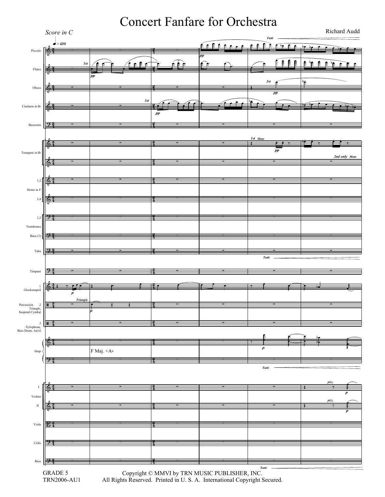### Concert Fanfare for Orchestra



TRN2006-AU1

Copyright © MMVI by TRN MUSIC PUBLISHER, INC. All Rights Reserved. Printed in U. S. A. International Copyright Secured.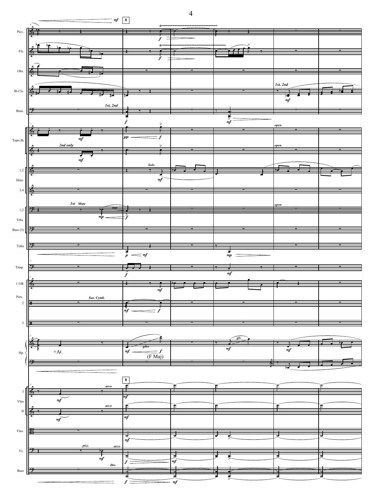

 $\overline{4}$